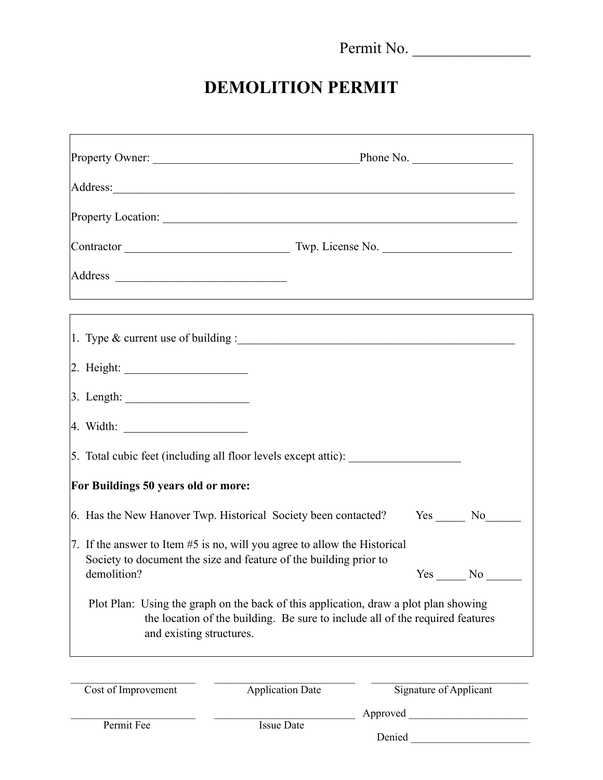Permit No. \_\_\_\_\_\_\_\_\_\_\_\_\_\_\_

## **DEMOLITION PERMIT**

|                                         | Address:                                                                                                                                                                                                   |     |
|-----------------------------------------|------------------------------------------------------------------------------------------------------------------------------------------------------------------------------------------------------------|-----|
|                                         |                                                                                                                                                                                                            |     |
|                                         |                                                                                                                                                                                                            |     |
|                                         | <u> 1989 - Andrea Santa Andrea Andrea Andrea Andrea Andrea Andrea Andrea Andrea Andrea Andrea Andrea Andrea Andr</u>                                                                                       |     |
|                                         | ,我们也不能在这里的时候,我们也不能会在这里,我们也不能会在这里,我们也不能会在这里,我们也不能会在这里的时候,我们也不能会在这里,我们也不能会不能会不能会。<br>第2012章 我们的时候,我们的时候,我们的时候,我们的时候,我们的时候,我们的时候,我们的时候,我们的时候,我们的时候,我们的时候,我们的时候,我们的时候,我<br>1. Type & current use of building : |     |
|                                         |                                                                                                                                                                                                            |     |
|                                         |                                                                                                                                                                                                            |     |
|                                         |                                                                                                                                                                                                            |     |
|                                         | 5. Total cubic feet (including all floor levels except attic):                                                                                                                                             |     |
| For Buildings 50 years old or more:     |                                                                                                                                                                                                            |     |
|                                         | 6. Has the New Hanover Twp. Historical Society been contacted? Yes _____ No_____                                                                                                                           |     |
|                                         | 7. If the answer to Item #5 is no, will you agree to allow the Historical<br>Society to document the size and feature of the building prior to                                                             |     |
| demolition?<br>and existing structures. | Yes<br>Plot Plan: Using the graph on the back of this application, draw a plot plan showing<br>the location of the building. Be sure to include all of the required features                               | No. |
| Cost of Improvement                     | <b>Signature of Applicant</b><br><b>Application Date</b>                                                                                                                                                   |     |
| Permit Fee                              | <b>Issue Date</b><br>Denied                                                                                                                                                                                |     |